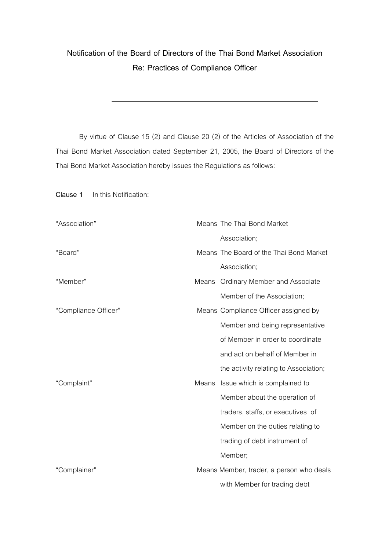## **Notification of the Board of Directors of the Thai Bond Market Association Re: Practices of Compliance Officer**

By virtue of Clause 15 (2) and Clause 20 (2) of the Articles of Association of the Thai Bond Market Association dated September 21, 2005, the Board of Directors of the Thai Bond Market Association hereby issues the Regulations as follows:

**Clause 1** In this Notification:

| "Association"        |       | Means The Thai Bond Market               |
|----------------------|-------|------------------------------------------|
|                      |       | Association;                             |
| "Board"              |       | Means The Board of the Thai Bond Market  |
|                      |       | Association;                             |
| "Member"             |       | Means Ordinary Member and Associate      |
|                      |       | Member of the Association;               |
| "Compliance Officer" |       | Means Compliance Officer assigned by     |
|                      |       | Member and being representative          |
|                      |       | of Member in order to coordinate         |
|                      |       | and act on behalf of Member in           |
|                      |       | the activity relating to Association;    |
| "Complaint"          | Means | Issue which is complained to             |
|                      |       | Member about the operation of            |
|                      |       | traders, staffs, or executives of        |
|                      |       | Member on the duties relating to         |
|                      |       | trading of debt instrument of            |
|                      |       | Member;                                  |
| "Complainer"         |       | Means Member, trader, a person who deals |
|                      |       | with Member for trading debt             |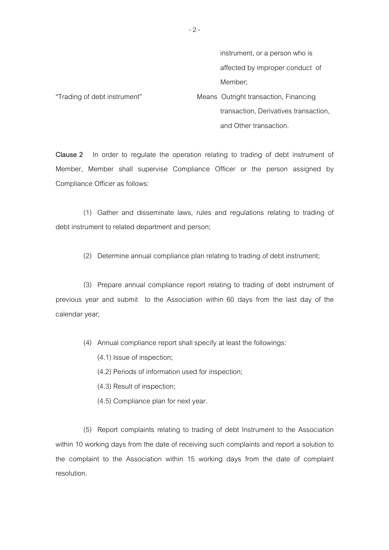instrument, or a person who is affected by improper conduct of Member;

\*Trading of debt instrument+ Means Outright transaction, Financing transaction, Derivatives transaction, and Other transaction.

**Clause 2** In order to regulate the operation relating to trading of debt instrument of Member, Member shall supervise Compliance Officer or the person assigned by Compliance Officer as follows:

 (1) Gather and disseminate laws, rules and regulations relating to trading of debt instrument to related department and person;

(2) Determine annual compliance plan relating to trading of debt instrument;

 (3) Prepare annual compliance report relating to trading of debt instrument of previous year and submit to the Association within 60 days from the last day of the calendar year;

(4) Annual compliance report shall specify at least the followings:

(4.1) Issue of inspection;

(4.2) Periods of information used for inspection;

(4.3) Result of inspection;

(4.5) Compliance plan for next year.

 (5) Report complaints relating to trading of debt Instrument to the Association within 10 working days from the date of receiving such complaints and report a solution to the complaint to the Association within 15 working days from the date of complaint resolution.